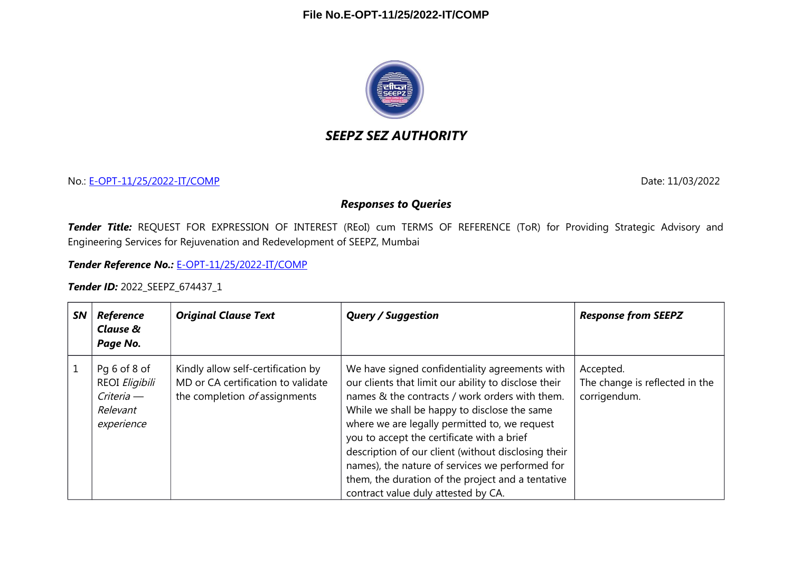

# *SEEPZ SEZ AUTHORITY*

No.: [E-OPT-11/25/2022-IT/COMP](https://eoffice.seepz.co.in/eFile/?x=0RyMnIjbCf7SlH1GJGwnr2w9-v4E5RKc) Date: 11/03/2022

#### *Responses to Queries*

*Tender Title:* REQUEST FOR EXPRESSION OF INTEREST (REoI) cum TERMS OF REFERENCE (ToR) for Providing Strategic Advisory and Engineering Services for Rejuvenation and Redevelopment of SEEPZ, Mumbai

*Tender Reference No.:* [E-OPT-11/25/2022-IT/COMP](https://eoffice.seepz.co.in/eFile/?x=0RyMnIjbCf7SlH1GJGwnr2w9-v4E5RKc)

*Tender ID:* 2022\_SEEPZ\_674437\_1

| <b>SN</b> | <b>Reference</b><br>Clause &<br>Page No.                               | <b>Original Clause Text</b>                                                                               | <b>Query / Suggestion</b>                                                                                                                                                                                                                                                                                                                                                                                                                                                                                     | <b>Response from SEEPZ</b>                                  |
|-----------|------------------------------------------------------------------------|-----------------------------------------------------------------------------------------------------------|---------------------------------------------------------------------------------------------------------------------------------------------------------------------------------------------------------------------------------------------------------------------------------------------------------------------------------------------------------------------------------------------------------------------------------------------------------------------------------------------------------------|-------------------------------------------------------------|
|           | Pg 6 of 8 of<br>REOI Eligibili<br>Criteria —<br>Relevant<br>experience | Kindly allow self-certification by<br>MD or CA certification to validate<br>the completion of assignments | We have signed confidentiality agreements with<br>our clients that limit our ability to disclose their<br>names & the contracts / work orders with them.<br>While we shall be happy to disclose the same<br>where we are legally permitted to, we request<br>you to accept the certificate with a brief<br>description of our client (without disclosing their<br>names), the nature of services we performed for<br>them, the duration of the project and a tentative<br>contract value duly attested by CA. | Accepted.<br>The change is reflected in the<br>corrigendum. |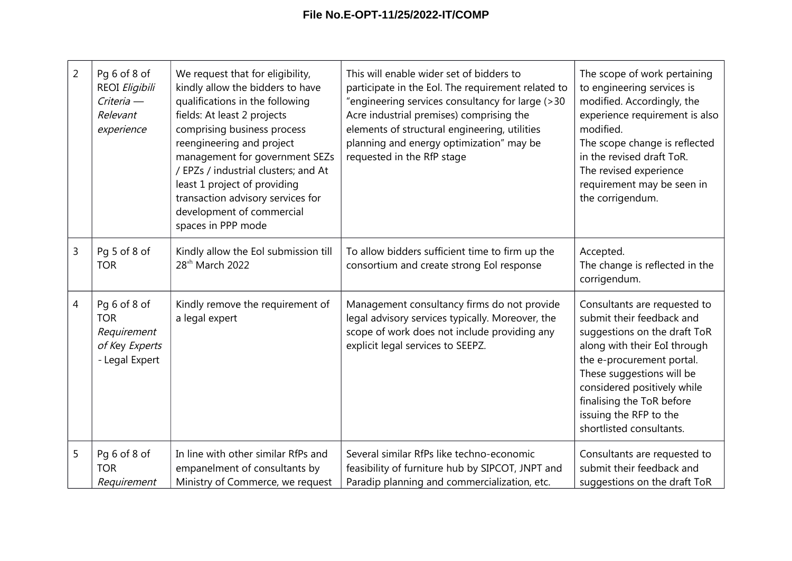| $\overline{2}$ | Pg 6 of 8 of<br>REOI Eligibili<br>Criteria -<br>Relevant<br>experience        | We request that for eligibility,<br>kindly allow the bidders to have<br>qualifications in the following<br>fields: At least 2 projects<br>comprising business process<br>reengineering and project<br>management for government SEZs<br>/ EPZs / industrial clusters; and At<br>least 1 project of providing<br>transaction advisory services for<br>development of commercial<br>spaces in PPP mode | This will enable wider set of bidders to<br>participate in the Eol. The requirement related to<br>"engineering services consultancy for large (>30<br>Acre industrial premises) comprising the<br>elements of structural engineering, utilities<br>planning and energy optimization" may be<br>requested in the RfP stage | The scope of work pertaining<br>to engineering services is<br>modified. Accordingly, the<br>experience requirement is also<br>modified.<br>The scope change is reflected<br>in the revised draft ToR.<br>The revised experience<br>requirement may be seen in<br>the corrigendum.                     |
|----------------|-------------------------------------------------------------------------------|------------------------------------------------------------------------------------------------------------------------------------------------------------------------------------------------------------------------------------------------------------------------------------------------------------------------------------------------------------------------------------------------------|---------------------------------------------------------------------------------------------------------------------------------------------------------------------------------------------------------------------------------------------------------------------------------------------------------------------------|-------------------------------------------------------------------------------------------------------------------------------------------------------------------------------------------------------------------------------------------------------------------------------------------------------|
| 3              | Pq 5 of 8 of<br><b>TOR</b>                                                    | Kindly allow the Eol submission till<br>28 <sup>th</sup> March 2022                                                                                                                                                                                                                                                                                                                                  | To allow bidders sufficient time to firm up the<br>consortium and create strong Eol response                                                                                                                                                                                                                              | Accepted.<br>The change is reflected in the<br>corrigendum.                                                                                                                                                                                                                                           |
| $\overline{4}$ | Pq 6 of 8 of<br><b>TOR</b><br>Requirement<br>of Key Experts<br>- Legal Expert | Kindly remove the requirement of<br>a legal expert                                                                                                                                                                                                                                                                                                                                                   | Management consultancy firms do not provide<br>legal advisory services typically. Moreover, the<br>scope of work does not include providing any<br>explicit legal services to SEEPZ.                                                                                                                                      | Consultants are requested to<br>submit their feedback and<br>suggestions on the draft ToR<br>along with their EoI through<br>the e-procurement portal.<br>These suggestions will be<br>considered positively while<br>finalising the ToR before<br>issuing the RFP to the<br>shortlisted consultants. |
| 5              | Pq 6 of 8 of<br><b>TOR</b><br>Requirement                                     | In line with other similar RfPs and<br>empanelment of consultants by<br>Ministry of Commerce, we request                                                                                                                                                                                                                                                                                             | Several similar RfPs like techno-economic<br>feasibility of furniture hub by SIPCOT, JNPT and<br>Paradip planning and commercialization, etc.                                                                                                                                                                             | Consultants are requested to<br>submit their feedback and<br>suggestions on the draft ToR                                                                                                                                                                                                             |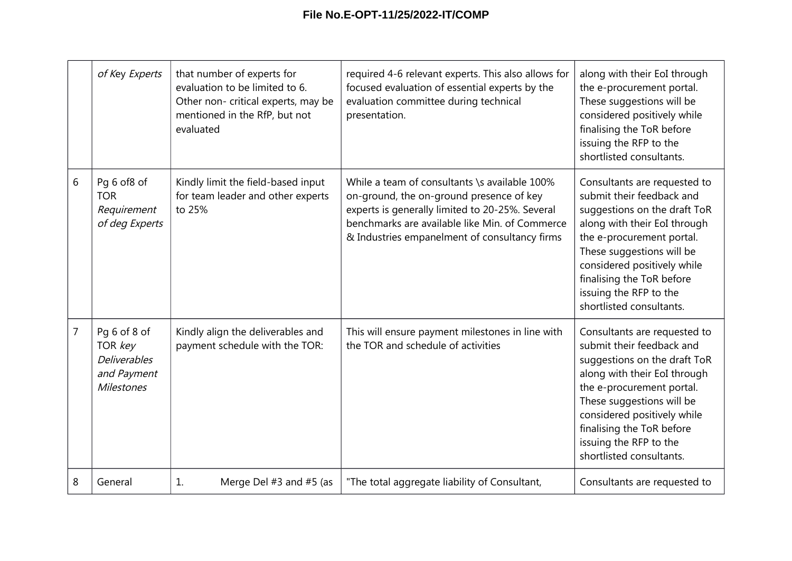|                | of Key Experts                                                                     | that number of experts for<br>evaluation to be limited to 6.<br>Other non- critical experts, may be<br>mentioned in the RfP, but not<br>evaluated | required 4-6 relevant experts. This also allows for<br>focused evaluation of essential experts by the<br>evaluation committee during technical<br>presentation.                                                                                 | along with their EoI through<br>the e-procurement portal.<br>These suggestions will be<br>considered positively while<br>finalising the ToR before<br>issuing the RFP to the<br>shortlisted consultants.                                                                                              |
|----------------|------------------------------------------------------------------------------------|---------------------------------------------------------------------------------------------------------------------------------------------------|-------------------------------------------------------------------------------------------------------------------------------------------------------------------------------------------------------------------------------------------------|-------------------------------------------------------------------------------------------------------------------------------------------------------------------------------------------------------------------------------------------------------------------------------------------------------|
| 6              | Pq 6 of8 of<br><b>TOR</b><br>Requirement<br>of deg Experts                         | Kindly limit the field-based input<br>for team leader and other experts<br>to 25%                                                                 | While a team of consultants \s available 100%<br>on-ground, the on-ground presence of key<br>experts is generally limited to 20-25%. Several<br>benchmarks are available like Min. of Commerce<br>& Industries empanelment of consultancy firms | Consultants are requested to<br>submit their feedback and<br>suggestions on the draft ToR<br>along with their EoI through<br>the e-procurement portal.<br>These suggestions will be<br>considered positively while<br>finalising the ToR before<br>issuing the RFP to the<br>shortlisted consultants. |
| $\overline{7}$ | Pg 6 of 8 of<br>TOR key<br><b>Deliverables</b><br>and Payment<br><b>Milestones</b> | Kindly align the deliverables and<br>payment schedule with the TOR:                                                                               | This will ensure payment milestones in line with<br>the TOR and schedule of activities                                                                                                                                                          | Consultants are requested to<br>submit their feedback and<br>suggestions on the draft ToR<br>along with their EoI through<br>the e-procurement portal.<br>These suggestions will be<br>considered positively while<br>finalising the ToR before<br>issuing the RFP to the<br>shortlisted consultants. |
| 8              | General                                                                            | 1.<br>Merge Del $#3$ and $#5$ (as                                                                                                                 | "The total aggregate liability of Consultant,                                                                                                                                                                                                   | Consultants are requested to                                                                                                                                                                                                                                                                          |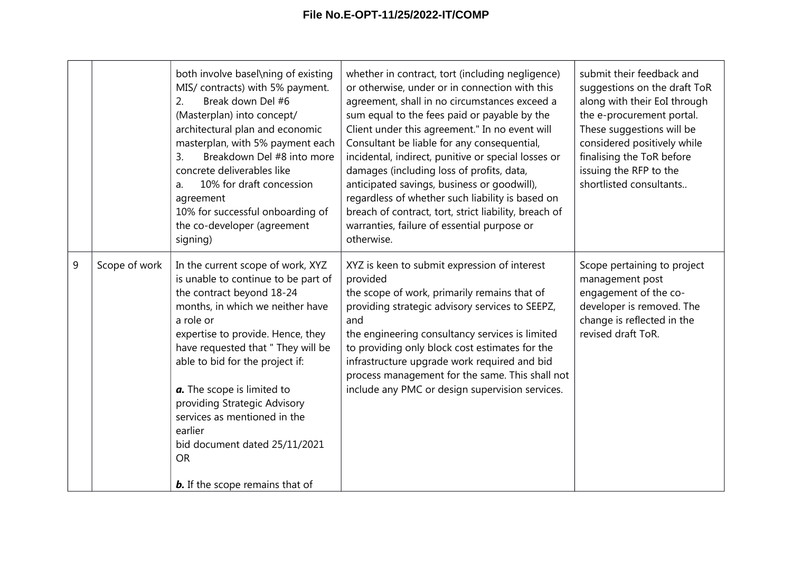|   |               | both involve basel\ning of existing<br>MIS/ contracts) with 5% payment.<br>Break down Del #6<br>2.<br>(Masterplan) into concept/<br>architectural plan and economic<br>masterplan, with 5% payment each<br>Breakdown Del #8 into more<br>$\overline{3}$ .<br>concrete deliverables like<br>10% for draft concession<br>a.<br>agreement<br>10% for successful onboarding of<br>the co-developer (agreement<br>signing)                                                 | whether in contract, tort (including negligence)<br>or otherwise, under or in connection with this<br>agreement, shall in no circumstances exceed a<br>sum equal to the fees paid or payable by the<br>Client under this agreement." In no event will<br>Consultant be liable for any consequential,<br>incidental, indirect, punitive or special losses or<br>damages (including loss of profits, data,<br>anticipated savings, business or goodwill),<br>regardless of whether such liability is based on<br>breach of contract, tort, strict liability, breach of<br>warranties, failure of essential purpose or<br>otherwise. | submit their feedback and<br>suggestions on the draft ToR<br>along with their EoI through<br>the e-procurement portal.<br>These suggestions will be<br>considered positively while<br>finalising the ToR before<br>issuing the RFP to the<br>shortlisted consultants |
|---|---------------|-----------------------------------------------------------------------------------------------------------------------------------------------------------------------------------------------------------------------------------------------------------------------------------------------------------------------------------------------------------------------------------------------------------------------------------------------------------------------|-----------------------------------------------------------------------------------------------------------------------------------------------------------------------------------------------------------------------------------------------------------------------------------------------------------------------------------------------------------------------------------------------------------------------------------------------------------------------------------------------------------------------------------------------------------------------------------------------------------------------------------|----------------------------------------------------------------------------------------------------------------------------------------------------------------------------------------------------------------------------------------------------------------------|
| 9 | Scope of work | In the current scope of work, XYZ<br>is unable to continue to be part of<br>the contract beyond 18-24<br>months, in which we neither have<br>a role or<br>expertise to provide. Hence, they<br>have requested that " They will be<br>able to bid for the project if:<br>a. The scope is limited to<br>providing Strategic Advisory<br>services as mentioned in the<br>earlier<br>bid document dated 25/11/2021<br><b>OR</b><br><b>b.</b> If the scope remains that of | XYZ is keen to submit expression of interest<br>provided<br>the scope of work, primarily remains that of<br>providing strategic advisory services to SEEPZ,<br>and<br>the engineering consultancy services is limited<br>to providing only block cost estimates for the<br>infrastructure upgrade work required and bid<br>process management for the same. This shall not<br>include any PMC or design supervision services.                                                                                                                                                                                                     | Scope pertaining to project<br>management post<br>engagement of the co-<br>developer is removed. The<br>change is reflected in the<br>revised draft ToR.                                                                                                             |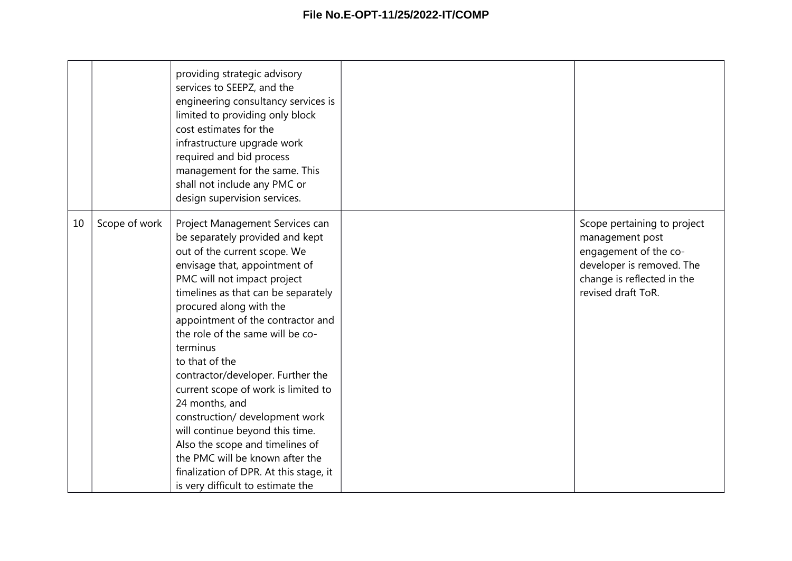|    |               | providing strategic advisory<br>services to SEEPZ, and the<br>engineering consultancy services is<br>limited to providing only block<br>cost estimates for the<br>infrastructure upgrade work<br>required and bid process<br>management for the same. This<br>shall not include any PMC or<br>design supervision services.                                                                                                                                                                                                                                                                                                                                          |                                                                                                                                                          |
|----|---------------|---------------------------------------------------------------------------------------------------------------------------------------------------------------------------------------------------------------------------------------------------------------------------------------------------------------------------------------------------------------------------------------------------------------------------------------------------------------------------------------------------------------------------------------------------------------------------------------------------------------------------------------------------------------------|----------------------------------------------------------------------------------------------------------------------------------------------------------|
| 10 | Scope of work | Project Management Services can<br>be separately provided and kept<br>out of the current scope. We<br>envisage that, appointment of<br>PMC will not impact project<br>timelines as that can be separately<br>procured along with the<br>appointment of the contractor and<br>the role of the same will be co-<br>terminus<br>to that of the<br>contractor/developer. Further the<br>current scope of work is limited to<br>24 months, and<br>construction/ development work<br>will continue beyond this time.<br>Also the scope and timelines of<br>the PMC will be known after the<br>finalization of DPR. At this stage, it<br>is very difficult to estimate the | Scope pertaining to project<br>management post<br>engagement of the co-<br>developer is removed. The<br>change is reflected in the<br>revised draft ToR. |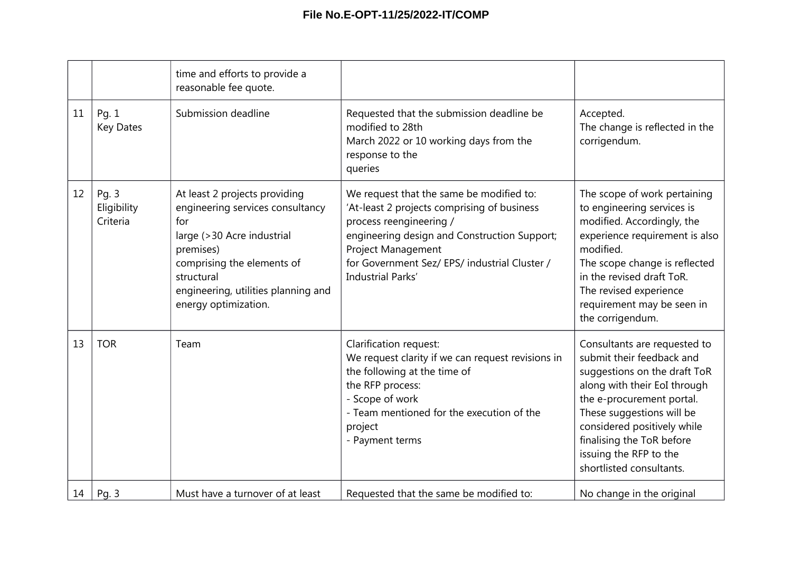|    |                                  | time and efforts to provide a<br>reasonable fee quote.                                                                                                                                                                         |                                                                                                                                                                                                                                                                              |                                                                                                                                                                                                                                                                                                       |
|----|----------------------------------|--------------------------------------------------------------------------------------------------------------------------------------------------------------------------------------------------------------------------------|------------------------------------------------------------------------------------------------------------------------------------------------------------------------------------------------------------------------------------------------------------------------------|-------------------------------------------------------------------------------------------------------------------------------------------------------------------------------------------------------------------------------------------------------------------------------------------------------|
| 11 | Pg. 1<br><b>Key Dates</b>        | Submission deadline                                                                                                                                                                                                            | Requested that the submission deadline be<br>modified to 28th<br>March 2022 or 10 working days from the<br>response to the<br>queries                                                                                                                                        | Accepted.<br>The change is reflected in the<br>corrigendum.                                                                                                                                                                                                                                           |
| 12 | Pg. 3<br>Eligibility<br>Criteria | At least 2 projects providing<br>engineering services consultancy<br>for<br>large (>30 Acre industrial<br>premises)<br>comprising the elements of<br>structural<br>engineering, utilities planning and<br>energy optimization. | We request that the same be modified to:<br>'At-least 2 projects comprising of business<br>process reengineering /<br>engineering design and Construction Support;<br><b>Project Management</b><br>for Government Sez/ EPS/ industrial Cluster /<br><b>Industrial Parks'</b> | The scope of work pertaining<br>to engineering services is<br>modified. Accordingly, the<br>experience requirement is also<br>modified.<br>The scope change is reflected<br>in the revised draft ToR.<br>The revised experience<br>requirement may be seen in<br>the corrigendum.                     |
| 13 | <b>TOR</b>                       | Team                                                                                                                                                                                                                           | Clarification request:<br>We request clarity if we can request revisions in<br>the following at the time of<br>the RFP process:<br>- Scope of work<br>- Team mentioned for the execution of the<br>project<br>- Payment terms                                                | Consultants are requested to<br>submit their feedback and<br>suggestions on the draft ToR<br>along with their EoI through<br>the e-procurement portal.<br>These suggestions will be<br>considered positively while<br>finalising the ToR before<br>issuing the RFP to the<br>shortlisted consultants. |
| 14 | Pg. 3                            | Must have a turnover of at least                                                                                                                                                                                               | Requested that the same be modified to:                                                                                                                                                                                                                                      | No change in the original                                                                                                                                                                                                                                                                             |